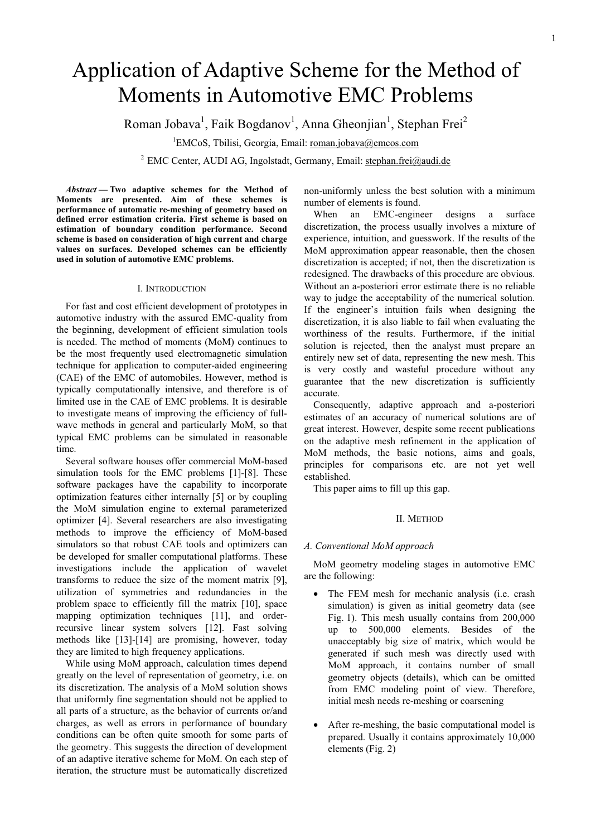## 1

# Application of Adaptive Scheme for the Method of Moments in Automotive EMC Problems

Roman Jobava $^1$ , Faik Bogdanov $^1$ , Anna Gheonjian $^1$ , Stephan Frei $^2$ 

<sup>1</sup>EMCoS, Tbilisi, Georgia, Email: roman.jobava@emcos.com

<sup>2</sup> EMC Center, AUDI AG, Ingolstadt, Germany, Email: stephan.frei@audi.de

*Abstract* **— Two adaptive schemes for the Method of Moments are presented. Aim of these schemes is performance of automatic re-meshing of geometry based on defined error estimation criteria. First scheme is based on estimation of boundary condition performance. Second scheme is based on consideration of high current and charge values on surfaces. Developed schemes can be efficiently used in solution of automotive EMC problems.** 

## I. INTRODUCTION

For fast and cost efficient development of prototypes in automotive industry with the assured EMC-quality from the beginning, development of efficient simulation tools is needed. The method of moments (MoM) continues to be the most frequently used electromagnetic simulation technique for application to computer-aided engineering (CAE) of the EMC of automobiles. However, method is typically computationally intensive, and therefore is of limited use in the CAE of EMC problems. It is desirable to investigate means of improving the efficiency of fullwave methods in general and particularly MoM, so that typical EMC problems can be simulated in reasonable time.

Several software houses offer commercial MoM-based simulation tools for the EMC problems [1]-[8]. These software packages have the capability to incorporate optimization features either internally [5] or by coupling the MoM simulation engine to external parameterized optimizer [4]. Several researchers are also investigating methods to improve the efficiency of MoM-based simulators so that robust CAE tools and optimizers can be developed for smaller computational platforms. These investigations include the application of wavelet transforms to reduce the size of the moment matrix [9], utilization of symmetries and redundancies in the problem space to efficiently fill the matrix [10], space mapping optimization techniques [11], and orderrecursive linear system solvers [12]. Fast solving methods like [13]-[14] are promising, however, today they are limited to high frequency applications.

While using MoM approach, calculation times depend greatly on the level of representation of geometry, i.e. on its discretization. The analysis of a MoM solution shows that uniformly fine segmentation should not be applied to all parts of a structure, as the behavior of currents or/and charges, as well as errors in performance of boundary conditions can be often quite smooth for some parts of the geometry. This suggests the direction of development of an adaptive iterative scheme for MoM. On each step of iteration, the structure must be automatically discretized

non-uniformly unless the best solution with a minimum number of elements is found.

When an EMC-engineer designs a surface discretization, the process usually involves a mixture of experience, intuition, and guesswork. If the results of the MoM approximation appear reasonable, then the chosen discretization is accepted; if not, then the discretization is redesigned. The drawbacks of this procedure are obvious. Without an a-posteriori error estimate there is no reliable way to judge the acceptability of the numerical solution. If the engineer's intuition fails when designing the discretization, it is also liable to fail when evaluating the worthiness of the results. Furthermore, if the initial solution is rejected, then the analyst must prepare an entirely new set of data, representing the new mesh. This is very costly and wasteful procedure without any guarantee that the new discretization is sufficiently accurate.

Consequently, adaptive approach and a-posteriori estimates of an accuracy of numerical solutions are of great interest. However, despite some recent publications on the adaptive mesh refinement in the application of MoM methods, the basic notions, aims and goals, principles for comparisons etc. are not yet well established.

This paper aims to fill up this gap.

## II. METHOD

## *A. Conventional MoM approach*

MoM geometry modeling stages in automotive EMC are the following:

- The FEM mesh for mechanic analysis (i.e. crash simulation) is given as initial geometry data (see Fig. 1). This mesh usually contains from 200,000 up to 500,000 elements. Besides of the unacceptably big size of matrix, which would be generated if such mesh was directly used with MoM approach, it contains number of small geometry objects (details), which can be omitted from EMC modeling point of view. Therefore, initial mesh needs re-meshing or coarsening
- After re-meshing, the basic computational model is prepared. Usually it contains approximately 10,000 elements (Fig. 2)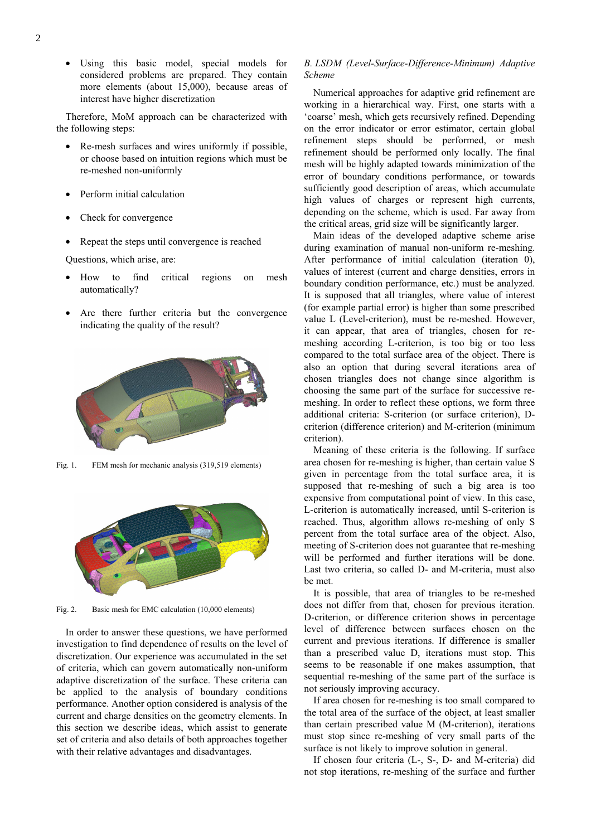Using this basic model, special models for considered problems are prepared. They contain more elements (about 15,000), because areas of interest have higher discretization

Therefore, MoM approach can be characterized with the following steps:

- Re-mesh surfaces and wires uniformly if possible, or choose based on intuition regions which must be re-meshed non-uniformly
- Perform initial calculation
- Check for convergence
- Repeat the steps until convergence is reached

Questions, which arise, are:

- How to find critical regions on mesh automatically?
- Are there further criteria but the convergence indicating the quality of the result?



Fig. 1. FEM mesh for mechanic analysis (319,519 elements)



Fig. 2. Basic mesh for EMC calculation (10,000 elements)

In order to answer these questions, we have performed investigation to find dependence of results on the level of discretization. Our experience was accumulated in the set of criteria, which can govern automatically non-uniform adaptive discretization of the surface. These criteria can be applied to the analysis of boundary conditions performance. Another option considered is analysis of the current and charge densities on the geometry elements. In this section we describe ideas, which assist to generate set of criteria and also details of both approaches together with their relative advantages and disadvantages.

## *B. LSDM (Level-Surface-Difference-Minimum) Adaptive Scheme*

Numerical approaches for adaptive grid refinement are working in a hierarchical way. First, one starts with a 'coarse' mesh, which gets recursively refined. Depending on the error indicator or error estimator, certain global refinement steps should be performed, or mesh refinement should be performed only locally. The final mesh will be highly adapted towards minimization of the error of boundary conditions performance, or towards sufficiently good description of areas, which accumulate high values of charges or represent high currents, depending on the scheme, which is used. Far away from the critical areas, grid size will be significantly larger.

Main ideas of the developed adaptive scheme arise during examination of manual non-uniform re-meshing. After performance of initial calculation (iteration 0), values of interest (current and charge densities, errors in boundary condition performance, etc.) must be analyzed. It is supposed that all triangles, where value of interest (for example partial error) is higher than some prescribed value L (Level-criterion), must be re-meshed. However, it can appear, that area of triangles, chosen for remeshing according L-criterion, is too big or too less compared to the total surface area of the object. There is also an option that during several iterations area of chosen triangles does not change since algorithm is choosing the same part of the surface for successive remeshing. In order to reflect these options, we form three additional criteria: S-criterion (or surface criterion), Dcriterion (difference criterion) and M-criterion (minimum criterion).

Meaning of these criteria is the following. If surface area chosen for re-meshing is higher, than certain value S given in percentage from the total surface area, it is supposed that re-meshing of such a big area is too expensive from computational point of view. In this case, L-criterion is automatically increased, until S-criterion is reached. Thus, algorithm allows re-meshing of only S percent from the total surface area of the object. Also, meeting of S-criterion does not guarantee that re-meshing will be performed and further iterations will be done. Last two criteria, so called D- and M-criteria, must also be met.

It is possible, that area of triangles to be re-meshed does not differ from that, chosen for previous iteration. D-criterion, or difference criterion shows in percentage level of difference between surfaces chosen on the current and previous iterations. If difference is smaller than a prescribed value D, iterations must stop. This seems to be reasonable if one makes assumption, that sequential re-meshing of the same part of the surface is not seriously improving accuracy.

If area chosen for re-meshing is too small compared to the total area of the surface of the object, at least smaller than certain prescribed value M (M-criterion), iterations must stop since re-meshing of very small parts of the surface is not likely to improve solution in general.

If chosen four criteria (L-, S-, D- and M-criteria) did not stop iterations, re-meshing of the surface and further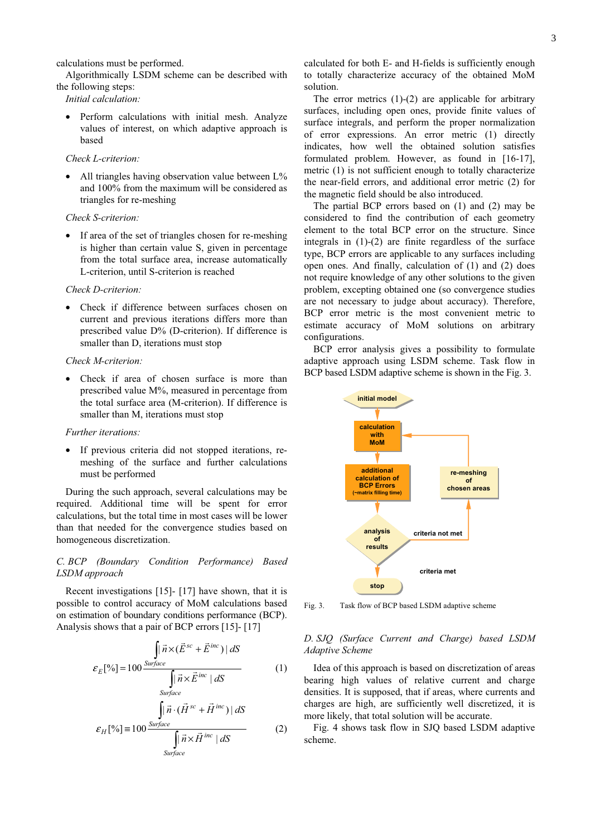calculations must be performed.

Algorithmically LSDM scheme can be described with the following steps:

*Initial calculation:* 

• Perform calculations with initial mesh. Analyze values of interest, on which adaptive approach is based

## *Check L-criterion:*

All triangles having observation value between  $L\%$ and 100% from the maximum will be considered as triangles for re-meshing

## *Check S-criterion:*

If area of the set of triangles chosen for re-meshing is higher than certain value S, given in percentage from the total surface area, increase automatically L-criterion, until S-criterion is reached

## *Check D-criterion:*

• Check if difference between surfaces chosen on current and previous iterations differs more than prescribed value D% (D-criterion). If difference is smaller than D, iterations must stop

#### *Check M-criterion:*

Check if area of chosen surface is more than prescribed value M%, measured in percentage from the total surface area (M-criterion). If difference is smaller than M, iterations must stop

### *Further iterations:*

• If previous criteria did not stopped iterations, remeshing of the surface and further calculations must be performed

During the such approach, several calculations may be required. Additional time will be spent for error calculations, but the total time in most cases will be lower than that needed for the convergence studies based on homogeneous discretization.

## *C. BCP (Boundary Condition Performance) Based LSDM approach*

Recent investigations [15]- [17] have shown, that it is possible to control accuracy of MoM calculations based on estimation of boundary conditions performance (BCP). Analysis shows that a pair of BCP errors [15]- [17]

$$
\int_{E_E} \vec{n} \times (\vec{E}^{sc} + \vec{E}^{inc}) \, ds
$$
\n
$$
\varepsilon_E[\%] = 100 \frac{\text{Surface}}{\int_{\text{Surface}} \vec{n} \times \vec{E}^{inc} \, ds} \qquad (1)
$$
\n
$$
\varepsilon_H[\%] = 100 \frac{\int_{\text{Surface}} \vec{n} \cdot (\vec{H}^{sc} + \vec{H}^{inc}) \, ds}{\int_{\text{Surface}} \vec{n} \times \vec{H}^{inc} \, ds} \qquad (2)
$$

calculated for both E- and H-fields is sufficiently enough to totally characterize accuracy of the obtained MoM solution.

The error metrics  $(1)-(2)$  are applicable for arbitrary surfaces, including open ones, provide finite values of surface integrals, and perform the proper normalization of error expressions. An error metric (1) directly indicates, how well the obtained solution satisfies formulated problem. However, as found in [16-17], metric (1) is not sufficient enough to totally characterize the near-field errors, and additional error metric (2) for the magnetic field should be also introduced.

The partial BCP errors based on (1) and (2) may be considered to find the contribution of each geometry element to the total BCP error on the structure. Since integrals in (1)-(2) are finite regardless of the surface type, BCP errors are applicable to any surfaces including open ones. And finally, calculation of (1) and (2) does not require knowledge of any other solutions to the given problem, excepting obtained one (so convergence studies are not necessary to judge about accuracy). Therefore, BCP error metric is the most convenient metric to estimate accuracy of MoM solutions on arbitrary configurations.

BCP error analysis gives a possibility to formulate adaptive approach using LSDM scheme. Task flow in BCP based LSDM adaptive scheme is shown in the Fig. 3.



Fig. 3. Task flow of BCP based LSDM adaptive scheme

## *D. SJQ (Surface Current and Charge) based LSDM Adaptive Scheme*

Idea of this approach is based on discretization of areas bearing high values of relative current and charge densities. It is supposed, that if areas, where currents and charges are high, are sufficiently well discretized, it is more likely, that total solution will be accurate.

Fig. 4 shows task flow in SJQ based LSDM adaptive scheme.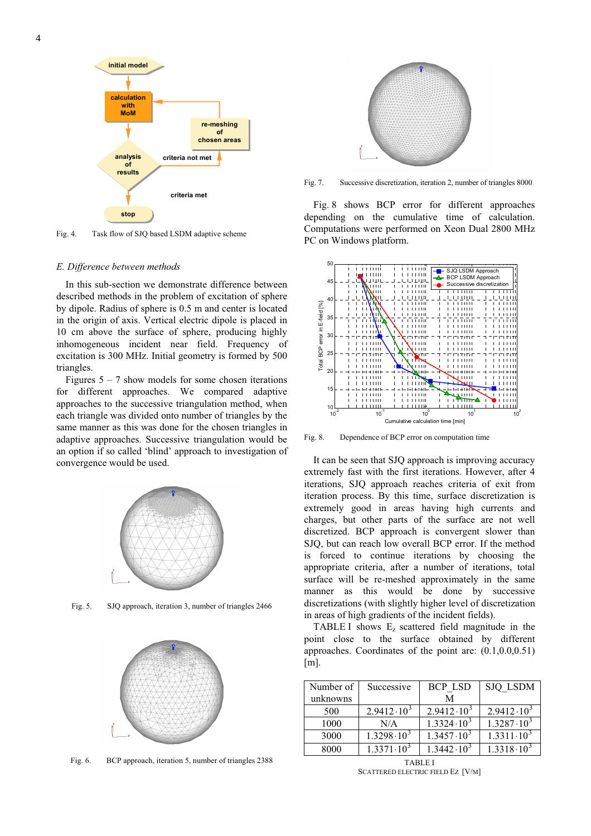



Fig. 4. Task flow of SJQ based LSDM adaptive scheme

## *E. Difference between methods*

In this sub-section we demonstrate difference between described methods in the problem of excitation of sphere by dipole. Radius of sphere is 0.5 m and center is located in the origin of axis. Vertical electric dipole is placed in 10 cm above the surface of sphere, producing highly inhomogeneous incident near field. Frequency of excitation is 300 MHz. Initial geometry is formed by 500 triangles.

Figures  $5 - 7$  show models for some chosen iterations for different approaches. We compared adaptive approaches to the successive triangulation method, when each triangle was divided onto number of triangles by the same manner as this was done for the chosen triangles in adaptive approaches. Successive triangulation would be an option if so called 'blind' approach to investigation of convergence would be used.



Fig. 5. SJQ approach, iteration 3, number of triangles 2466



Fig. 6. BCP approach, iteration 5, number of triangles 2388



Fig. 7. Successive discretization, iteration 2, number of triangles 8000

Fig. 8 shows BCP error for different approaches depending on the cumulative time of calculation. Computations were performed on Xeon Dual 2800 MHz PC on Windows platform.



Fig. 8. Dependence of BCP error on computation time

It can be seen that SJQ approach is improving accuracy extremely fast with the first iterations. However, after 4 iterations, SJQ approach reaches criteria of exit from iteration process. By this time, surface discretization is extremely good in areas having high currents and charges, but other parts of the surface are not well discretized. BCP approach is convergent slower than SJQ, but can reach low overall BCP error. If the method is forced to continue iterations by choosing the appropriate criteria, after a number of iterations, total surface will be re-meshed approximately in the same manner as this would be done by successive discretizations (with slightly higher level of discretization in areas of high gradients of the incident fields).

TABLE I shows  $E<sub>z</sub>$  scattered field magnitude in the point close to the surface obtained by different approaches. Coordinates of the point are: (0.1,0.0,0.51)  $[m]$ .

| Number of | Successive          | <b>BCP LSD</b>        | <b>SJQ LSDM</b>     |
|-----------|---------------------|-----------------------|---------------------|
| unknowns  |                     | М                     |                     |
| 500       | $2.9412 \cdot 10^3$ | $2.9412 \cdot 10^{3}$ | $2.9412 \cdot 10^3$ |
| 1000      | N/A                 | $1.3324 \cdot 10^3$   | $1.3287 \cdot 10^3$ |
| 3000      | $1.3298 \cdot 10^3$ | $1.3457 \cdot 10^3$   | $1.3311 \cdot 10^3$ |
| 8000      | $1.3371 \cdot 10^3$ | $1.3442 \cdot 10^3$   | $1.3318 \cdot 10^3$ |

TABLE I SCATTERED ELECTRIC FIELD EZ [V/M]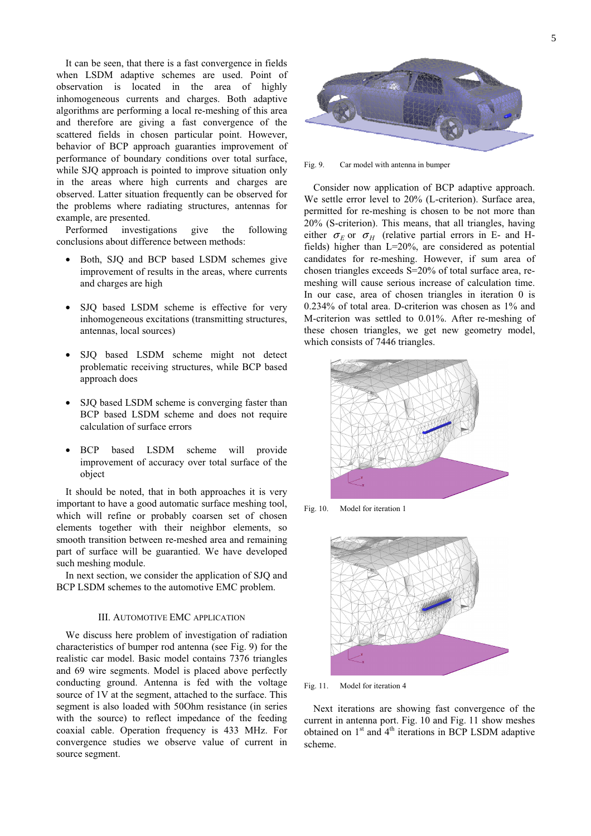It can be seen, that there is a fast convergence in fields when LSDM adaptive schemes are used. Point of observation is located in the area of highly inhomogeneous currents and charges. Both adaptive algorithms are performing a local re-meshing of this area and therefore are giving a fast convergence of the scattered fields in chosen particular point. However, behavior of BCP approach guaranties improvement of performance of boundary conditions over total surface, while SJO approach is pointed to improve situation only in the areas where high currents and charges are observed. Latter situation frequently can be observed for the problems where radiating structures, antennas for example, are presented.

Performed investigations give the following conclusions about difference between methods:

- Both, SJQ and BCP based LSDM schemes give improvement of results in the areas, where currents and charges are high
- SJQ based LSDM scheme is effective for very inhomogeneous excitations (transmitting structures, antennas, local sources)
- SJQ based LSDM scheme might not detect problematic receiving structures, while BCP based approach does
- SJQ based LSDM scheme is converging faster than BCP based LSDM scheme and does not require calculation of surface errors
- BCP based LSDM scheme will provide improvement of accuracy over total surface of the object

It should be noted, that in both approaches it is very important to have a good automatic surface meshing tool, which will refine or probably coarsen set of chosen elements together with their neighbor elements, so smooth transition between re-meshed area and remaining part of surface will be guarantied. We have developed such meshing module.

In next section, we consider the application of SJQ and BCP LSDM schemes to the automotive EMC problem.

## III. AUTOMOTIVE EMC APPLICATION

We discuss here problem of investigation of radiation characteristics of bumper rod antenna (see Fig. 9) for the realistic car model. Basic model contains 7376 triangles and 69 wire segments. Model is placed above perfectly conducting ground. Antenna is fed with the voltage source of 1V at the segment, attached to the surface. This segment is also loaded with 50Ohm resistance (in series with the source) to reflect impedance of the feeding coaxial cable. Operation frequency is 433 MHz. For convergence studies we observe value of current in source segment.



Fig. 9. Car model with antenna in bumper

Consider now application of BCP adaptive approach. We settle error level to 20% (L-criterion). Surface area, permitted for re-meshing is chosen to be not more than 20% (S-criterion). This means, that all triangles, having either  $\sigma_F$  or  $\sigma_H$  (relative partial errors in E- and Hfields) higher than L=20%, are considered as potential candidates for re-meshing. However, if sum area of chosen triangles exceeds S=20% of total surface area, remeshing will cause serious increase of calculation time. In our case, area of chosen triangles in iteration 0 is 0.234% of total area. D-criterion was chosen as 1% and M-criterion was settled to 0.01%. After re-meshing of these chosen triangles, we get new geometry model, which consists of 7446 triangles.



Fig. 10. Model for iteration 1



Fig. 11. Model for iteration 4

Next iterations are showing fast convergence of the current in antenna port. Fig. 10 and Fig. 11 show meshes obtained on  $1<sup>st</sup>$  and  $4<sup>th</sup>$  iterations in BCP LSDM adaptive scheme.